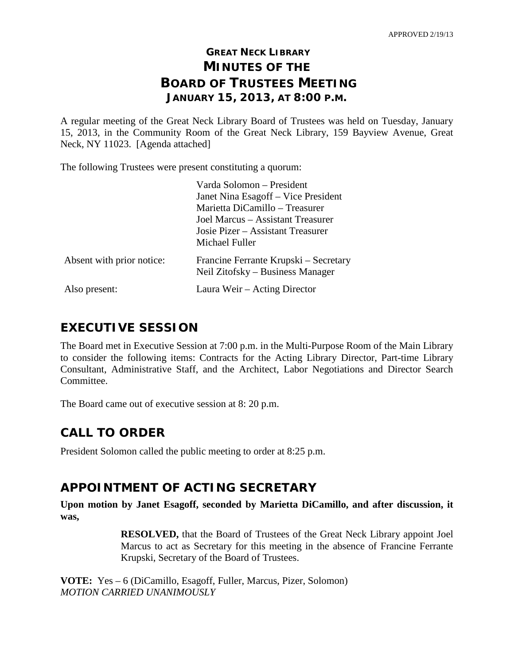# **GREAT NECK LIBRARY MINUTES OF THE BOARD OF TRUSTEES MEETING JANUARY 15, 2013, AT 8:00 P.M.**

A regular meeting of the Great Neck Library Board of Trustees was held on Tuesday, January 15, 2013, in the Community Room of the Great Neck Library, 159 Bayview Avenue, Great Neck, NY 11023. [Agenda attached]

The following Trustees were present constituting a quorum:

|                           | Varda Solomon – President                                                 |
|---------------------------|---------------------------------------------------------------------------|
|                           | Janet Nina Esagoff – Vice President                                       |
|                           | Marietta DiCamillo – Treasurer                                            |
|                           | Joel Marcus – Assistant Treasurer                                         |
|                           | Josie Pizer – Assistant Treasurer                                         |
|                           | Michael Fuller                                                            |
| Absent with prior notice: | Francine Ferrante Krupski – Secretary<br>Neil Zitofsky – Business Manager |
| Also present:             | Laura Weir - Acting Director                                              |

# **EXECUTIVE SESSION**

The Board met in Executive Session at 7:00 p.m. in the Multi-Purpose Room of the Main Library to consider the following items: Contracts for the Acting Library Director, Part-time Library Consultant, Administrative Staff, and the Architect, Labor Negotiations and Director Search Committee.

The Board came out of executive session at 8: 20 p.m.

# **CALL TO ORDER**

President Solomon called the public meeting to order at 8:25 p.m.

# **APPOINTMENT OF ACTING SECRETARY**

**Upon motion by Janet Esagoff, seconded by Marietta DiCamillo, and after discussion, it was,**

> **RESOLVED,** that the Board of Trustees of the Great Neck Library appoint Joel Marcus to act as Secretary for this meeting in the absence of Francine Ferrante Krupski, Secretary of the Board of Trustees.

**VOTE:** Yes – 6 (DiCamillo, Esagoff, Fuller, Marcus, Pizer, Solomon) *MOTION CARRIED UNANIMOUSLY*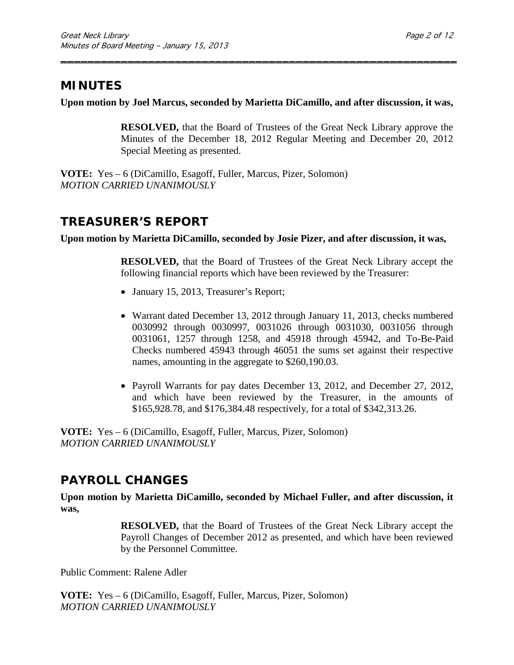# **MINUTES**

**Upon motion by Joel Marcus, seconded by Marietta DiCamillo, and after discussion, it was,**

\_\_\_\_\_\_\_\_\_\_\_\_\_\_\_\_\_\_\_\_\_\_\_\_\_\_\_\_\_\_\_\_\_\_\_\_\_\_\_\_\_\_\_\_\_\_\_\_\_\_\_\_\_\_\_\_\_\_\_

**RESOLVED,** that the Board of Trustees of the Great Neck Library approve the Minutes of the December 18, 2012 Regular Meeting and December 20, 2012 Special Meeting as presented.

**VOTE:** Yes – 6 (DiCamillo, Esagoff, Fuller, Marcus, Pizer, Solomon) *MOTION CARRIED UNANIMOUSLY*

# **TREASURER'S REPORT**

**Upon motion by Marietta DiCamillo, seconded by Josie Pizer, and after discussion, it was,**

**RESOLVED,** that the Board of Trustees of the Great Neck Library accept the following financial reports which have been reviewed by the Treasurer:

- January 15, 2013, Treasurer's Report;
- Warrant dated December 13, 2012 through January 11, 2013, checks numbered 0030992 through 0030997, 0031026 through 0031030, 0031056 through 0031061, 1257 through 1258, and 45918 through 45942, and To-Be-Paid Checks numbered 45943 through 46051 the sums set against their respective names, amounting in the aggregate to \$260,190.03.
- Payroll Warrants for pay dates December 13, 2012, and December 27, 2012, and which have been reviewed by the Treasurer, in the amounts of \$165,928.78, and \$176,384.48 respectively, for a total of \$342,313.26.

**VOTE:** Yes – 6 (DiCamillo, Esagoff, Fuller, Marcus, Pizer, Solomon) *MOTION CARRIED UNANIMOUSLY*

# **PAYROLL CHANGES**

**Upon motion by Marietta DiCamillo, seconded by Michael Fuller, and after discussion, it was,**

> **RESOLVED,** that the Board of Trustees of the Great Neck Library accept the Payroll Changes of December 2012 as presented, and which have been reviewed by the Personnel Committee.

Public Comment: Ralene Adler

**VOTE:** Yes – 6 (DiCamillo, Esagoff, Fuller, Marcus, Pizer, Solomon) *MOTION CARRIED UNANIMOUSLY*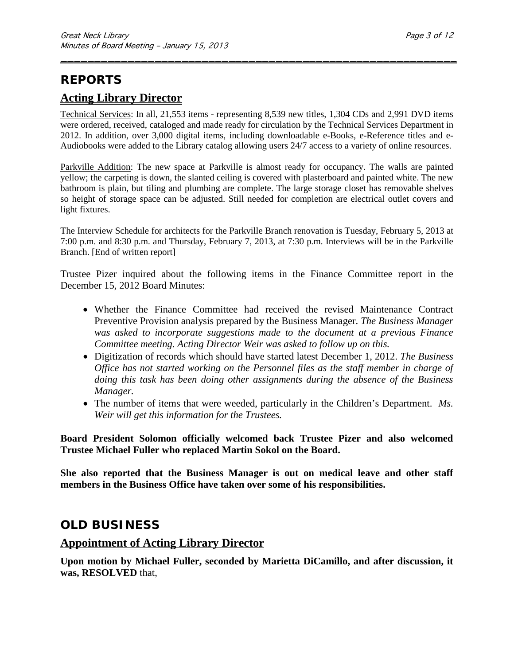# **REPORTS**

## **Acting Library Director**

Technical Services: In all, 21,553 items - representing 8,539 new titles, 1,304 CDs and 2,991 DVD items were ordered, received, cataloged and made ready for circulation by the Technical Services Department in 2012. In addition, over 3,000 digital items, including downloadable e-Books, e-Reference titles and e-Audiobooks were added to the Library catalog allowing users 24/7 access to a variety of online resources.

\_\_\_\_\_\_\_\_\_\_\_\_\_\_\_\_\_\_\_\_\_\_\_\_\_\_\_\_\_\_\_\_\_\_\_\_\_\_\_\_\_\_\_\_\_\_\_\_\_\_\_\_\_\_\_\_\_\_\_

Parkville Addition: The new space at Parkville is almost ready for occupancy. The walls are painted yellow; the carpeting is down, the slanted ceiling is covered with plasterboard and painted white. The new bathroom is plain, but tiling and plumbing are complete. The large storage closet has removable shelves so height of storage space can be adjusted. Still needed for completion are electrical outlet covers and light fixtures.

The Interview Schedule for architects for the Parkville Branch renovation is Tuesday, February 5, 2013 at 7:00 p.m. and 8:30 p.m. and Thursday, February 7, 2013, at 7:30 p.m. Interviews will be in the Parkville Branch. [End of written report]

Trustee Pizer inquired about the following items in the Finance Committee report in the December 15, 2012 Board Minutes:

- Whether the Finance Committee had received the revised Maintenance Contract Preventive Provision analysis prepared by the Business Manager. *The Business Manager was asked to incorporate suggestions made to the document at a previous Finance Committee meeting. Acting Director Weir was asked to follow up on this.*
- Digitization of records which should have started latest December 1, 2012. *The Business Office has not started working on the Personnel files as the staff member in charge of doing this task has been doing other assignments during the absence of the Business Manager.*
- The number of items that were weeded, particularly in the Children's Department. *Ms. Weir will get this information for the Trustees.*

**Board President Solomon officially welcomed back Trustee Pizer and also welcomed Trustee Michael Fuller who replaced Martin Sokol on the Board.**

**She also reported that the Business Manager is out on medical leave and other staff members in the Business Office have taken over some of his responsibilities.** 

## **OLD BUSINESS**

### **Appointment of Acting Library Director**

**Upon motion by Michael Fuller, seconded by Marietta DiCamillo, and after discussion, it was, RESOLVED** that,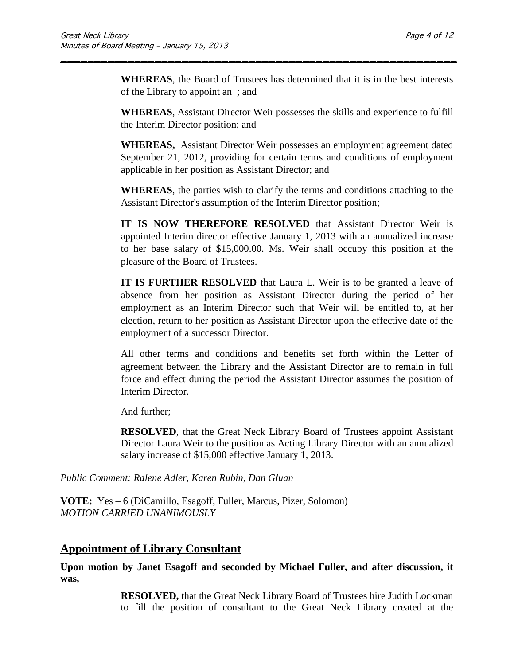**WHEREAS**, the Board of Trustees has determined that it is in the best interests of the Library to appoint an ; and

\_\_\_\_\_\_\_\_\_\_\_\_\_\_\_\_\_\_\_\_\_\_\_\_\_\_\_\_\_\_\_\_\_\_\_\_\_\_\_\_\_\_\_\_\_\_\_\_\_\_\_\_\_\_\_\_\_\_\_

**WHEREAS**, Assistant Director Weir possesses the skills and experience to fulfill the Interim Director position; and

**WHEREAS,** Assistant Director Weir possesses an employment agreement dated September 21, 2012, providing for certain terms and conditions of employment applicable in her position as Assistant Director; and

**WHEREAS**, the parties wish to clarify the terms and conditions attaching to the Assistant Director's assumption of the Interim Director position;

**IT IS NOW THEREFORE RESOLVED** that Assistant Director Weir is appointed Interim director effective January 1, 2013 with an annualized increase to her base salary of \$15,000.00. Ms. Weir shall occupy this position at the pleasure of the Board of Trustees.

**IT IS FURTHER RESOLVED** that Laura L. Weir is to be granted a leave of absence from her position as Assistant Director during the period of her employment as an Interim Director such that Weir will be entitled to, at her election, return to her position as Assistant Director upon the effective date of the employment of a successor Director.

All other terms and conditions and benefits set forth within the Letter of agreement between the Library and the Assistant Director are to remain in full force and effect during the period the Assistant Director assumes the position of Interim Director.

And further;

**RESOLVED**, that the Great Neck Library Board of Trustees appoint Assistant Director Laura Weir to the position as Acting Library Director with an annualized salary increase of \$15,000 effective January 1, 2013.

*Public Comment: Ralene Adler, Karen Rubin, Dan Gluan*

**VOTE:** Yes – 6 (DiCamillo, Esagoff, Fuller, Marcus, Pizer, Solomon) *MOTION CARRIED UNANIMOUSLY*

## **Appointment of Library Consultant**

**Upon motion by Janet Esagoff and seconded by Michael Fuller, and after discussion, it was,**

> **RESOLVED,** that the Great Neck Library Board of Trustees hire Judith Lockman to fill the position of consultant to the Great Neck Library created at the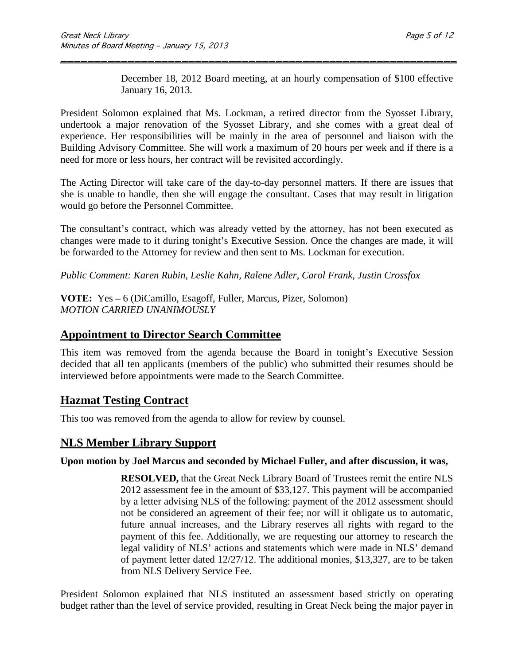December 18, 2012 Board meeting, at an hourly compensation of \$100 effective January 16, 2013.

President Solomon explained that Ms. Lockman, a retired director from the Syosset Library, undertook a major renovation of the Syosset Library, and she comes with a great deal of experience. Her responsibilities will be mainly in the area of personnel and liaison with the Building Advisory Committee. She will work a maximum of 20 hours per week and if there is a need for more or less hours, her contract will be revisited accordingly.

\_\_\_\_\_\_\_\_\_\_\_\_\_\_\_\_\_\_\_\_\_\_\_\_\_\_\_\_\_\_\_\_\_\_\_\_\_\_\_\_\_\_\_\_\_\_\_\_\_\_\_\_\_\_\_\_\_\_\_

The Acting Director will take care of the day-to-day personnel matters. If there are issues that she is unable to handle, then she will engage the consultant. Cases that may result in litigation would go before the Personnel Committee.

The consultant's contract, which was already vetted by the attorney, has not been executed as changes were made to it during tonight's Executive Session. Once the changes are made, it will be forwarded to the Attorney for review and then sent to Ms. Lockman for execution.

*Public Comment: Karen Rubin, Leslie Kahn, Ralene Adler, Carol Frank, Justin Crossfox*

**VOTE:** Yes **–** 6 (DiCamillo, Esagoff, Fuller, Marcus, Pizer, Solomon) *MOTION CARRIED UNANIMOUSLY*

## **Appointment to Director Search Committee**

This item was removed from the agenda because the Board in tonight's Executive Session decided that all ten applicants (members of the public) who submitted their resumes should be interviewed before appointments were made to the Search Committee.

## **Hazmat Testing Contract**

This too was removed from the agenda to allow for review by counsel.

## **NLS Member Library Support**

### **Upon motion by Joel Marcus and seconded by Michael Fuller, and after discussion, it was,**

**RESOLVED,** that the Great Neck Library Board of Trustees remit the entire NLS 2012 assessment fee in the amount of \$33,127. This payment will be accompanied by a letter advising NLS of the following: payment of the 2012 assessment should not be considered an agreement of their fee; nor will it obligate us to automatic, future annual increases, and the Library reserves all rights with regard to the payment of this fee. Additionally, we are requesting our attorney to research the legal validity of NLS' actions and statements which were made in NLS' demand of payment letter dated 12/27/12. The additional monies, \$13,327, are to be taken from NLS Delivery Service Fee.

President Solomon explained that NLS instituted an assessment based strictly on operating budget rather than the level of service provided, resulting in Great Neck being the major payer in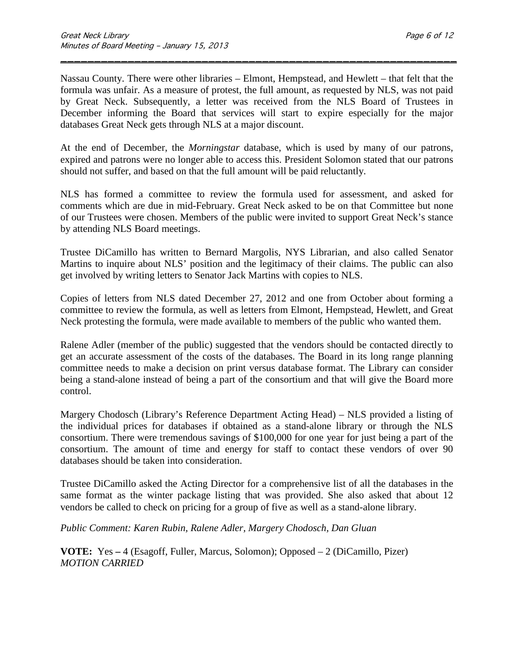Nassau County. There were other libraries – Elmont, Hempstead, and Hewlett – that felt that the formula was unfair. As a measure of protest, the full amount, as requested by NLS, was not paid by Great Neck. Subsequently, a letter was received from the NLS Board of Trustees in December informing the Board that services will start to expire especially for the major databases Great Neck gets through NLS at a major discount.

\_\_\_\_\_\_\_\_\_\_\_\_\_\_\_\_\_\_\_\_\_\_\_\_\_\_\_\_\_\_\_\_\_\_\_\_\_\_\_\_\_\_\_\_\_\_\_\_\_\_\_\_\_\_\_\_\_\_\_

At the end of December, the *Morningstar* database, which is used by many of our patrons, expired and patrons were no longer able to access this. President Solomon stated that our patrons should not suffer, and based on that the full amount will be paid reluctantly.

NLS has formed a committee to review the formula used for assessment, and asked for comments which are due in mid-February. Great Neck asked to be on that Committee but none of our Trustees were chosen. Members of the public were invited to support Great Neck's stance by attending NLS Board meetings.

Trustee DiCamillo has written to Bernard Margolis, NYS Librarian, and also called Senator Martins to inquire about NLS' position and the legitimacy of their claims. The public can also get involved by writing letters to Senator Jack Martins with copies to NLS.

Copies of letters from NLS dated December 27, 2012 and one from October about forming a committee to review the formula, as well as letters from Elmont, Hempstead, Hewlett, and Great Neck protesting the formula, were made available to members of the public who wanted them.

Ralene Adler (member of the public) suggested that the vendors should be contacted directly to get an accurate assessment of the costs of the databases. The Board in its long range planning committee needs to make a decision on print versus database format. The Library can consider being a stand-alone instead of being a part of the consortium and that will give the Board more control.

Margery Chodosch (Library's Reference Department Acting Head) – NLS provided a listing of the individual prices for databases if obtained as a stand-alone library or through the NLS consortium. There were tremendous savings of \$100,000 for one year for just being a part of the consortium. The amount of time and energy for staff to contact these vendors of over 90 databases should be taken into consideration.

Trustee DiCamillo asked the Acting Director for a comprehensive list of all the databases in the same format as the winter package listing that was provided. She also asked that about 12 vendors be called to check on pricing for a group of five as well as a stand-alone library.

*Public Comment: Karen Rubin, Ralene Adler, Margery Chodosch, Dan Gluan*

**VOTE:** Yes **–** 4 (Esagoff, Fuller, Marcus, Solomon); Opposed – 2 (DiCamillo, Pizer) *MOTION CARRIED*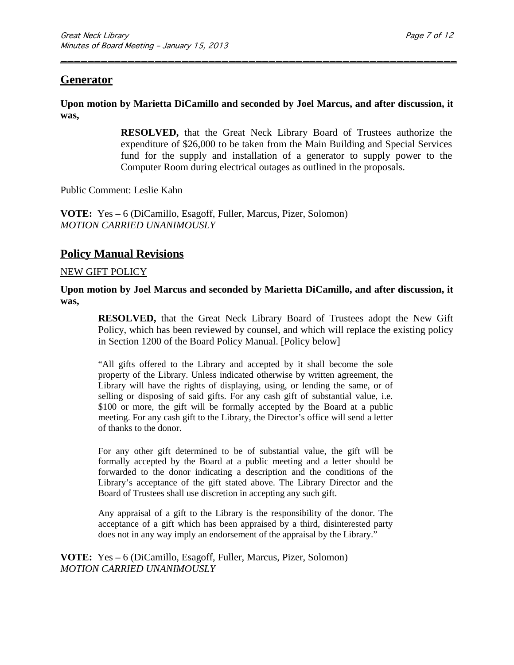### **Generator**

**Upon motion by Marietta DiCamillo and seconded by Joel Marcus, and after discussion, it was,**

\_\_\_\_\_\_\_\_\_\_\_\_\_\_\_\_\_\_\_\_\_\_\_\_\_\_\_\_\_\_\_\_\_\_\_\_\_\_\_\_\_\_\_\_\_\_\_\_\_\_\_\_\_\_\_\_\_\_\_

**RESOLVED,** that the Great Neck Library Board of Trustees authorize the expenditure of \$26,000 to be taken from the Main Building and Special Services fund for the supply and installation of a generator to supply power to the Computer Room during electrical outages as outlined in the proposals.

Public Comment: Leslie Kahn

**VOTE:** Yes **–** 6 (DiCamillo, Esagoff, Fuller, Marcus, Pizer, Solomon) *MOTION CARRIED UNANIMOUSLY*

### **Policy Manual Revisions**

#### NEW GIFT POLICY

**Upon motion by Joel Marcus and seconded by Marietta DiCamillo, and after discussion, it was,**

**RESOLVED,** that the Great Neck Library Board of Trustees adopt the New Gift Policy, which has been reviewed by counsel, and which will replace the existing policy in Section 1200 of the Board Policy Manual. [Policy below]

"All gifts offered to the Library and accepted by it shall become the sole property of the Library. Unless indicated otherwise by written agreement, the Library will have the rights of displaying, using, or lending the same, or of selling or disposing of said gifts. For any cash gift of substantial value, i.e. \$100 or more, the gift will be formally accepted by the Board at a public meeting. For any cash gift to the Library, the Director's office will send a letter of thanks to the donor.

For any other gift determined to be of substantial value, the gift will be formally accepted by the Board at a public meeting and a letter should be forwarded to the donor indicating a description and the conditions of the Library's acceptance of the gift stated above. The Library Director and the Board of Trustees shall use discretion in accepting any such gift.

Any appraisal of a gift to the Library is the responsibility of the donor. The acceptance of a gift which has been appraised by a third, disinterested party does not in any way imply an endorsement of the appraisal by the Library."

**VOTE:** Yes **–** 6 (DiCamillo, Esagoff, Fuller, Marcus, Pizer, Solomon) *MOTION CARRIED UNANIMOUSLY*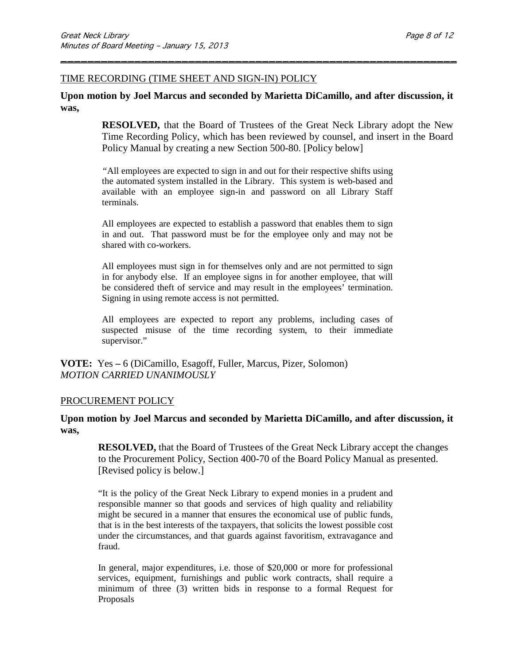#### TIME RECORDING (TIME SHEET AND SIGN-IN) POLICY

#### **Upon motion by Joel Marcus and seconded by Marietta DiCamillo, and after discussion, it was,**

\_\_\_\_\_\_\_\_\_\_\_\_\_\_\_\_\_\_\_\_\_\_\_\_\_\_\_\_\_\_\_\_\_\_\_\_\_\_\_\_\_\_\_\_\_\_\_\_\_\_\_\_\_\_\_\_\_\_\_

**RESOLVED,** that the Board of Trustees of the Great Neck Library adopt the New Time Recording Policy, which has been reviewed by counsel, and insert in the Board Policy Manual by creating a new Section 500-80. [Policy below]

*"*All employees are expected to sign in and out for their respective shifts using the automated system installed in the Library. This system is web-based and available with an employee sign-in and password on all Library Staff terminals.

All employees are expected to establish a password that enables them to sign in and out. That password must be for the employee only and may not be shared with co-workers.

All employees must sign in for themselves only and are not permitted to sign in for anybody else. If an employee signs in for another employee, that will be considered theft of service and may result in the employees' termination. Signing in using remote access is not permitted.

All employees are expected to report any problems, including cases of suspected misuse of the time recording system, to their immediate supervisor."

**VOTE:** Yes **–** 6 (DiCamillo, Esagoff, Fuller, Marcus, Pizer, Solomon) *MOTION CARRIED UNANIMOUSLY*

#### PROCUREMENT POLICY

#### **Upon motion by Joel Marcus and seconded by Marietta DiCamillo, and after discussion, it was,**

**RESOLVED,** that the Board of Trustees of the Great Neck Library accept the changes to the Procurement Policy, Section 400-70 of the Board Policy Manual as presented. [Revised policy is below.]

"It is the policy of the Great Neck Library to expend monies in a prudent and responsible manner so that goods and services of high quality and reliability might be secured in a manner that ensures the economical use of public funds, that is in the best interests of the taxpayers, that solicits the lowest possible cost under the circumstances, and that guards against favoritism, extravagance and fraud.

In general, major expenditures, i.e. those of \$20,000 or more for professional services, equipment, furnishings and public work contracts, shall require a minimum of three (3) written bids in response to a formal Request for Proposals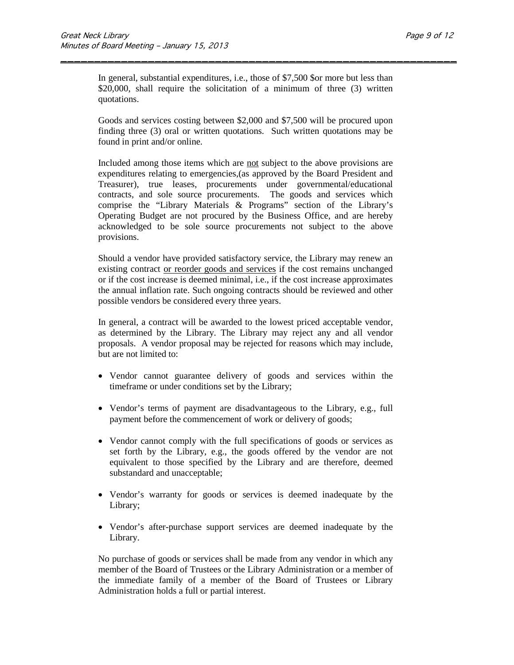In general, substantial expenditures, i.e., those of \$7,500 \$or more but less than \$20,000, shall require the solicitation of a minimum of three (3) written quotations.

\_\_\_\_\_\_\_\_\_\_\_\_\_\_\_\_\_\_\_\_\_\_\_\_\_\_\_\_\_\_\_\_\_\_\_\_\_\_\_\_\_\_\_\_\_\_\_\_\_\_\_\_\_\_\_\_\_\_\_

Goods and services costing between \$2,000 and \$7,500 will be procured upon finding three (3) oral or written quotations. Such written quotations may be found in print and/or online.

Included among those items which are not subject to the above provisions are expenditures relating to emergencies,(as approved by the Board President and Treasurer), true leases, procurements under governmental/educational contracts, and sole source procurements. The goods and services which comprise the "Library Materials & Programs" section of the Library's Operating Budget are not procured by the Business Office, and are hereby acknowledged to be sole source procurements not subject to the above provisions.

Should a vendor have provided satisfactory service, the Library may renew an existing contract or reorder goods and services if the cost remains unchanged or if the cost increase is deemed minimal, i.e., if the cost increase approximates the annual inflation rate. Such ongoing contracts should be reviewed and other possible vendors be considered every three years.

In general, a contract will be awarded to the lowest priced acceptable vendor, as determined by the Library. The Library may reject any and all vendor proposals. A vendor proposal may be rejected for reasons which may include, but are not limited to:

- Vendor cannot guarantee delivery of goods and services within the timeframe or under conditions set by the Library;
- Vendor's terms of payment are disadvantageous to the Library, e.g., full payment before the commencement of work or delivery of goods;
- Vendor cannot comply with the full specifications of goods or services as set forth by the Library, e.g., the goods offered by the vendor are not equivalent to those specified by the Library and are therefore, deemed substandard and unacceptable;
- Vendor's warranty for goods or services is deemed inadequate by the Library;
- Vendor's after-purchase support services are deemed inadequate by the Library.

No purchase of goods or services shall be made from any vendor in which any member of the Board of Trustees or the Library Administration or a member of the immediate family of a member of the Board of Trustees or Library Administration holds a full or partial interest.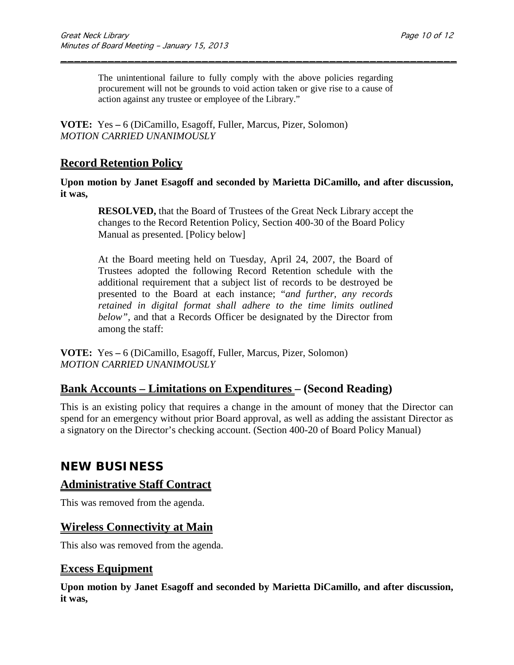The unintentional failure to fully comply with the above policies regarding procurement will not be grounds to void action taken or give rise to a cause of action against any trustee or employee of the Library."

\_\_\_\_\_\_\_\_\_\_\_\_\_\_\_\_\_\_\_\_\_\_\_\_\_\_\_\_\_\_\_\_\_\_\_\_\_\_\_\_\_\_\_\_\_\_\_\_\_\_\_\_\_\_\_\_\_\_\_

**VOTE:** Yes **–** 6 (DiCamillo, Esagoff, Fuller, Marcus, Pizer, Solomon) *MOTION CARRIED UNANIMOUSLY*

## **Record Retention Policy**

**Upon motion by Janet Esagoff and seconded by Marietta DiCamillo, and after discussion, it was,**

**RESOLVED,** that the Board of Trustees of the Great Neck Library accept the changes to the Record Retention Policy, Section 400-30 of the Board Policy Manual as presented. [Policy below]

At the Board meeting held on Tuesday, April 24, 2007, the Board of Trustees adopted the following Record Retention schedule with the additional requirement that a subject list of records to be destroyed be presented to the Board at each instance; "*and further, any records retained in digital format shall adhere to the time limits outlined below",* and that a Records Officer be designated by the Director from among the staff:

**VOTE:** Yes **–** 6 (DiCamillo, Esagoff, Fuller, Marcus, Pizer, Solomon) *MOTION CARRIED UNANIMOUSLY*

## **Bank Accounts – Limitations on Expenditures – (Second Reading)**

This is an existing policy that requires a change in the amount of money that the Director can spend for an emergency without prior Board approval, as well as adding the assistant Director as a signatory on the Director's checking account. (Section 400-20 of Board Policy Manual)

## **NEW BUSINESS**

### **Administrative Staff Contract**

This was removed from the agenda.

## **Wireless Connectivity at Main**

This also was removed from the agenda.

### **Excess Equipment**

**Upon motion by Janet Esagoff and seconded by Marietta DiCamillo, and after discussion, it was,**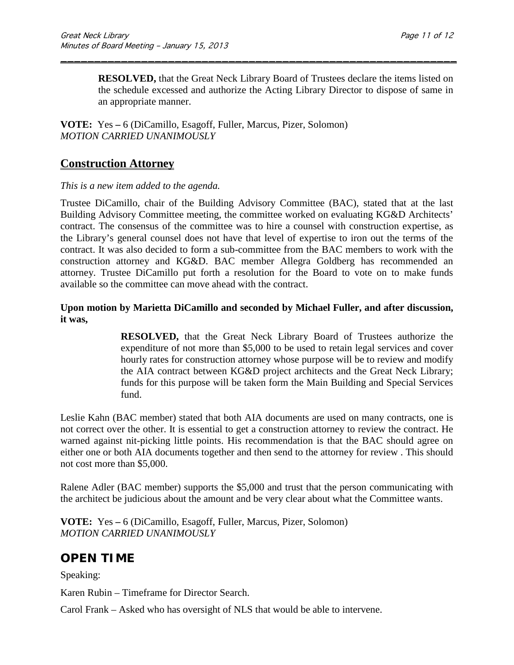**RESOLVED,** that the Great Neck Library Board of Trustees declare the items listed on the schedule excessed and authorize the Acting Library Director to dispose of same in an appropriate manner.

\_\_\_\_\_\_\_\_\_\_\_\_\_\_\_\_\_\_\_\_\_\_\_\_\_\_\_\_\_\_\_\_\_\_\_\_\_\_\_\_\_\_\_\_\_\_\_\_\_\_\_\_\_\_\_\_\_\_\_

**VOTE:** Yes **–** 6 (DiCamillo, Esagoff, Fuller, Marcus, Pizer, Solomon) *MOTION CARRIED UNANIMOUSLY*

### **Construction Attorney**

#### *This is a new item added to the agenda.*

Trustee DiCamillo, chair of the Building Advisory Committee (BAC), stated that at the last Building Advisory Committee meeting, the committee worked on evaluating KG&D Architects' contract. The consensus of the committee was to hire a counsel with construction expertise, as the Library's general counsel does not have that level of expertise to iron out the terms of the contract. It was also decided to form a sub-committee from the BAC members to work with the construction attorney and KG&D. BAC member Allegra Goldberg has recommended an attorney. Trustee DiCamillo put forth a resolution for the Board to vote on to make funds available so the committee can move ahead with the contract.

#### **Upon motion by Marietta DiCamillo and seconded by Michael Fuller, and after discussion, it was,**

**RESOLVED,** that the Great Neck Library Board of Trustees authorize the expenditure of not more than \$5,000 to be used to retain legal services and cover hourly rates for construction attorney whose purpose will be to review and modify the AIA contract between KG&D project architects and the Great Neck Library; funds for this purpose will be taken form the Main Building and Special Services fund.

Leslie Kahn (BAC member) stated that both AIA documents are used on many contracts, one is not correct over the other. It is essential to get a construction attorney to review the contract. He warned against nit-picking little points. His recommendation is that the BAC should agree on either one or both AIA documents together and then send to the attorney for review . This should not cost more than \$5,000.

Ralene Adler (BAC member) supports the \$5,000 and trust that the person communicating with the architect be judicious about the amount and be very clear about what the Committee wants.

**VOTE:** Yes **–** 6 (DiCamillo, Esagoff, Fuller, Marcus, Pizer, Solomon) *MOTION CARRIED UNANIMOUSLY*

## **OPEN TIME**

Speaking:

Karen Rubin – Timeframe for Director Search.

Carol Frank – Asked who has oversight of NLS that would be able to intervene.